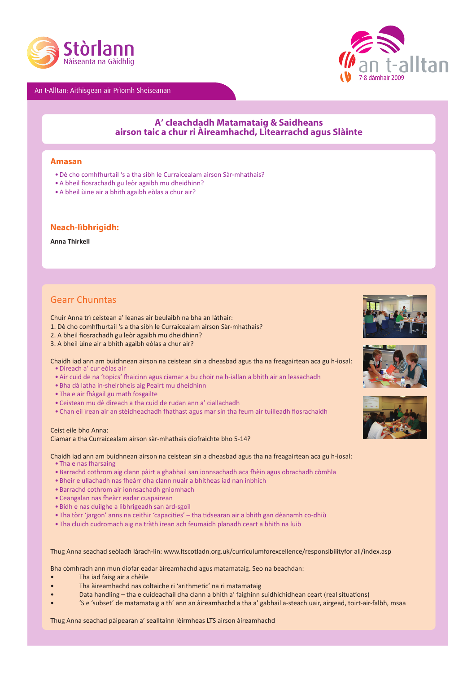

An t-Alltan: Aithisgean air Prìomh Sheiseanan



# **A' cleachdadh Matamataig & Saidheans airson taic a chur ri Àireamhachd, Litearrachd agus Slàinte**

### **Amasan**

- Dè cho comhfhurtail 's a tha sibh le Curraicealam airson Sàr-mhathais?
- • A bheil fiosrachadh gu leòr agaibh mu dheidhinn?
- • A bheil ùine air a bhith agaibh eòlas a chur air?

### **Neach-lìbhrigidh:**

### **Anna Thirkell**

## Gearr Chunntas

Chuir Anna trì ceistean a' leanas air beulaibh na bha an làthair:

- 1. Dè cho comhfhurtail 's a tha sibh le Curraicealam airson Sàr-mhathais?
- 2. A bheil fiosrachadh gu leòr agaibh mu dheidhinn?
- 3. A bheil ùine air a bhith agaibh eòlas a chur air?

Chaidh iad ann am buidhnean airson na ceistean sin a dheasbad agus tha na freagairtean aca gu h-ìosal:

- • Dìreach a' cur eòlas air
- • Air cuid de na 'topics' fhaicinn agus ciamar a bu choir na h-iallan a bhith air an leasachadh
- Bha dà latha in-sheirbheis aig Peairt mu dheidhinn
- Tha e air fhàgail gu math fosgailte
- • Ceistean mu dè dìreach a tha cuid de rudan ann a' ciallachadh
- • Chan eil ìrean air an stèidheachadh fhathast agus mar sin tha feum air tuilleadh fiosrachaidh

Ceist eile bho Anna: Ciamar a tha Curraicealam airson sàr-mhathais diofraichte bho 5-14?

Chaidh iad ann am buidhnean airson na ceistean sin a dheasbad agus tha na freagairtean aca gu h-ìosal:

- • Tha e nas fharsaing
- • Barrachd cothrom aig clann pàirt a ghabhail san ionnsachadh aca fhèin agus obrachadh còmhla
- • Bheir e ullachadh nas fheàrr dha clann nuair a bhitheas iad nan inbhich
- • Barrachd cothrom air ionnsachadh gnìomhach
- • Ceangalan nas fheàrr eadar cuspairean
- • Bidh e nas duilghe a lìbhrigeadh san àrd-sgoil
- • Tha tòrr 'jargon' anns na ceithir 'capacities' tha tidsearan air a bhith gan dèanamh co-dhiù
- Tha cluich cudromach aig na tràth ìrean ach feumaidh planadh ceart a bhith na luib

Thug Anna seachad seòladh làrach-lìn: www.ltscotladn.org.uk/curriculumforexcellence/responsibilityfor all/index.asp

Bha còmhradh ann mun diofar eadar àireamhachd agus matamataig. Seo na beachdan:

- • Tha iad faisg air a chèile
- Tha àireamhachd nas coltaiche ri 'arithmetic' na ri matamataig
- Data handling tha e cuideachail dha clann a bhith a' faighinn suidhichidhean ceart (real situations)
- 'S e 'subset' de matamataig a th' ann an àireamhachd a tha a' gabhail a-steach uair, airgead, toirt-air-falbh, msaa

Thug Anna seachad pàipearan a' sealltainn lèirmheas LTS airson àireamhachd